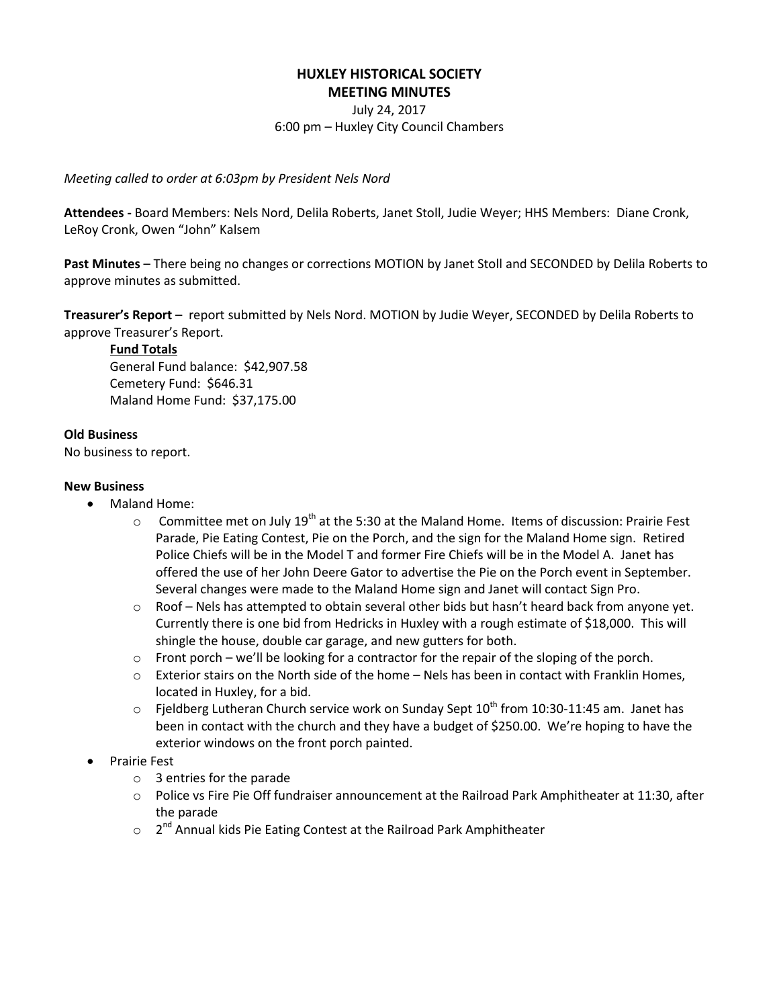### **HUXLEY HISTORICAL SOCIETY MEETING MINUTES**

July 24, 2017 6:00 pm – Huxley City Council Chambers

*Meeting called to order at 6:03pm by President Nels Nord*

**Attendees -** Board Members: Nels Nord, Delila Roberts, Janet Stoll, Judie Weyer; HHS Members: Diane Cronk, LeRoy Cronk, Owen "John" Kalsem

**Past Minutes** – There being no changes or corrections MOTION by Janet Stoll and SECONDED by Delila Roberts to approve minutes as submitted.

**Treasurer's Report** – report submitted by Nels Nord. MOTION by Judie Weyer, SECONDED by Delila Roberts to approve Treasurer's Report.

#### **Fund Totals**

General Fund balance: \$42,907.58 Cemetery Fund: \$646.31 Maland Home Fund: \$37,175.00

### **Old Business**

No business to report.

### **New Business**

- Maland Home:
	- Committee met on July 19<sup>th</sup> at the 5:30 at the Maland Home. Items of discussion: Prairie Fest Parade, Pie Eating Contest, Pie on the Porch, and the sign for the Maland Home sign. Retired Police Chiefs will be in the Model T and former Fire Chiefs will be in the Model A. Janet has offered the use of her John Deere Gator to advertise the Pie on the Porch event in September. Several changes were made to the Maland Home sign and Janet will contact Sign Pro.
	- $\circ$  Roof Nels has attempted to obtain several other bids but hasn't heard back from anyone yet. Currently there is one bid from Hedricks in Huxley with a rough estimate of \$18,000. This will shingle the house, double car garage, and new gutters for both.
	- $\circ$  Front porch we'll be looking for a contractor for the repair of the sloping of the porch.
	- $\circ$  Exterior stairs on the North side of the home Nels has been in contact with Franklin Homes, located in Huxley, for a bid.
	- $\circ$  Fjeldberg Lutheran Church service work on Sunday Sept 10<sup>th</sup> from 10:30-11:45 am. Janet has been in contact with the church and they have a budget of \$250.00. We're hoping to have the exterior windows on the front porch painted.
- Prairie Fest
	- o 3 entries for the parade
	- o Police vs Fire Pie Off fundraiser announcement at the Railroad Park Amphitheater at 11:30, after the parade
	- o 2<sup>nd</sup> Annual kids Pie Eating Contest at the Railroad Park Amphitheater